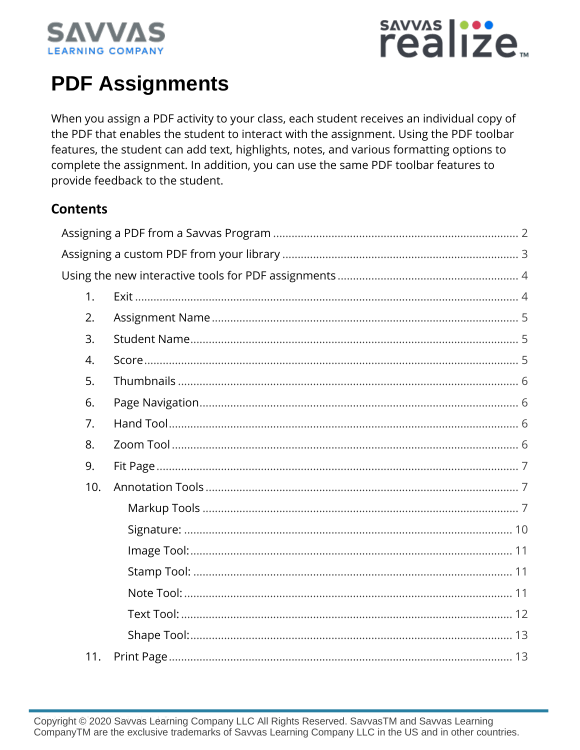



# **PDF Assignments**

When you assign a PDF activity to your class, each student receives an individual copy of the PDF that enables the student to interact with the assignment. Using the PDF toolbar features, the student can add text, highlights, notes, and various formatting options to complete the assignment. In addition, you can use the same PDF toolbar features to provide feedback to the student.

#### **Contents**

| 1.  |  |
|-----|--|
| 2.  |  |
| 3.  |  |
| 4.  |  |
| 5.  |  |
| 6.  |  |
| 7.  |  |
| 8.  |  |
| 9.  |  |
| 10. |  |
|     |  |
|     |  |
|     |  |
|     |  |
|     |  |
|     |  |
|     |  |
| 11. |  |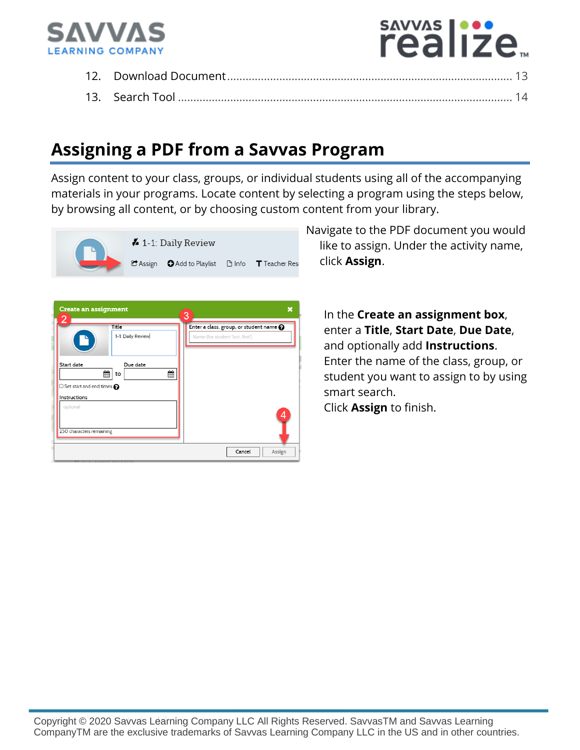

# sayyas |...<br>realize...

# **Assigning a PDF from a Savvas Program**

Assign content to your class, groups, or individual students using all of the accompanying materials in your programs. Locate content by selecting a program using the steps below, by browsing all content, or by choosing custom content from your library.



Navigate to the PDF document you would like to assign. Under the activity name, click **Assign**.

In the **Create an assignment box**, enter a **Title**, **Start Date**, **Due Date**, and optionally add **Instructions**. Enter the name of the class, group, or student you want to assign to by using smart search. Click **Assign** to finish.

Copyright © 2020 Savvas Learning Company LLC All Rights Reserved. SavvasTM and Savvas Learning CompanyTM are the exclusive trademarks of Savvas Learning Company LLC in the US and in other countries.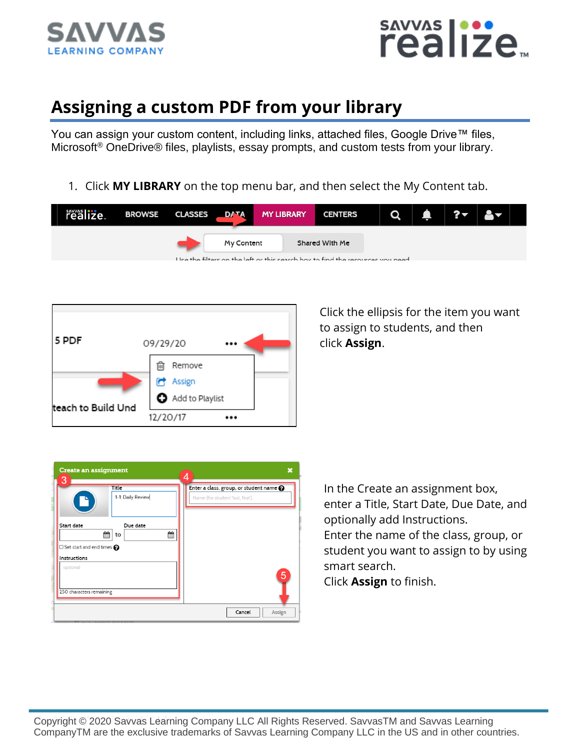



# **Assigning a custom PDF from your library**

You can assign your custom content, including links, attached files, Google Drive™ files, Microsoft<sup>®</sup> OneDrive® files, playlists, essay prompts, and custom tests from your library.

1. Click **MY LIBRARY** on the top menu bar, and then select the My Content tab.

| realize | BROWSE CLASSES DATA |            | <b>MY LIBRARY</b>                                                              | <b>CENTERS</b> |  |  |  |
|---------|---------------------|------------|--------------------------------------------------------------------------------|----------------|--|--|--|
|         |                     | My Content | Lice the filters on the left or this search hov to find the resources vou need | Shared With Me |  |  |  |



Click the ellipsis for the item you want to assign to students, and then click **Assign**.

| <b>Create an assignment</b><br>3                        |                            | 4                                                                                  | × |
|---------------------------------------------------------|----------------------------|------------------------------------------------------------------------------------|---|
| Ľ                                                       | Title<br>1-1: Daily Review | Enter a class, group, or student name $\odot$<br>Name (for student 'last, first'). |   |
| Start date<br>$\Box$ Set start and end times $\bigcirc$ | Due date<br>饂<br>雦<br>to   |                                                                                    |   |
| Instructions<br>optional                                |                            | 5                                                                                  |   |
| 250 characters remaining                                |                            | Cancel<br>Assign                                                                   |   |

In the Create an assignment box, enter a Title, Start Date, Due Date, and optionally add Instructions. Enter the name of the class, group, or student you want to assign to by using smart search.

Click **Assign** to finish.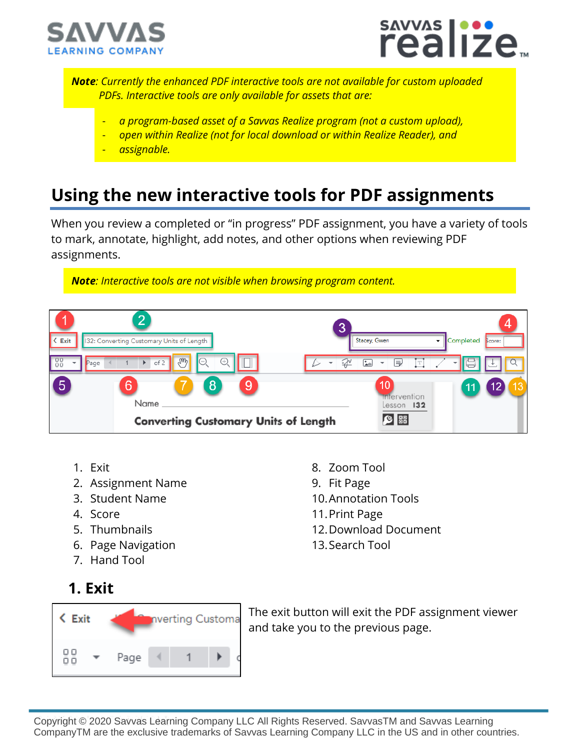



*Note: Currently the enhanced PDF interactive tools are not available for custom uploaded PDFs. Interactive tools are only available for assets that are:*

- *a program-based asset of a Savvas Realize program (not a custom upload),*
- *open within Realize (not for local download or within Realize Reader), and*
- *assignable.*

# **Using the new interactive tools for PDF assignments**

When you review a completed or "in progress" PDF assignment, you have a variety of tools to mark, annotate, highlight, add notes, and other options when reviewing PDF assignments.

*Note: Interactive tools are not visible when browsing program content.*



- 1. Exit
- 2. Assignment Name
- 3. Student Name
- 4. Score
- 5. Thumbnails
- 6. Page Navigation
- 7. Hand Tool
- 8. Zoom Tool 9. Fit Page
- 10.Annotation Tools
- 11.Print Page
- 12.Download Document
- 13.Search Tool

**1. Exit**



The exit button will exit the PDF assignment viewer and take you to the previous page.

Copyright © 2020 Savvas Learning Company LLC All Rights Reserved. SavvasTM and Savvas Learning CompanyTM are the exclusive trademarks of Savvas Learning Company LLC in the US and in other countries.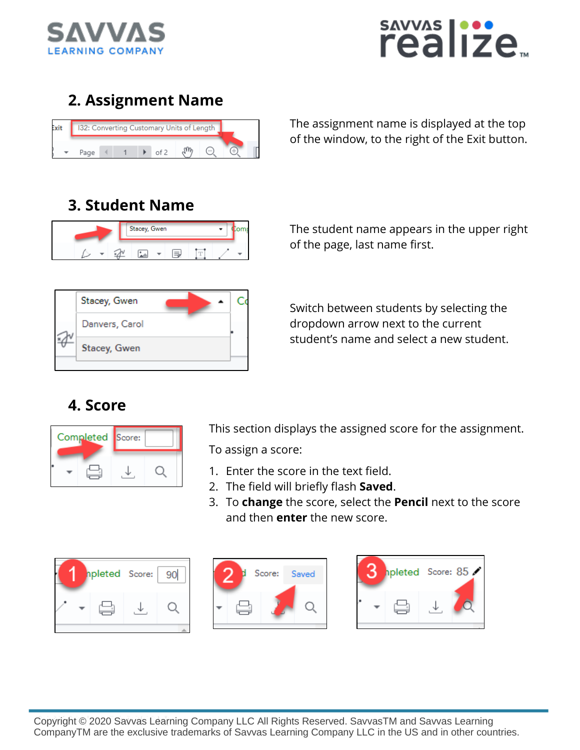



### **2. Assignment Name**



The assignment name is displayed at the top of the window, to the right of the Exit button.

#### **3. Student Name**



The student name appears in the upper right of the page, last name first.



Switch between students by selecting the dropdown arrow next to the current student's name and select a new student.

#### **4. Score**

| Completed Score: |  |
|------------------|--|
|                  |  |

This section displays the assigned score for the assignment.

To assign a score:

- 1. Enter the score in the text field.
- 2. The field will briefly flash **Saved**.
- 3. To **change** the score, select the **Pencil** next to the score and then **enter** the new score.





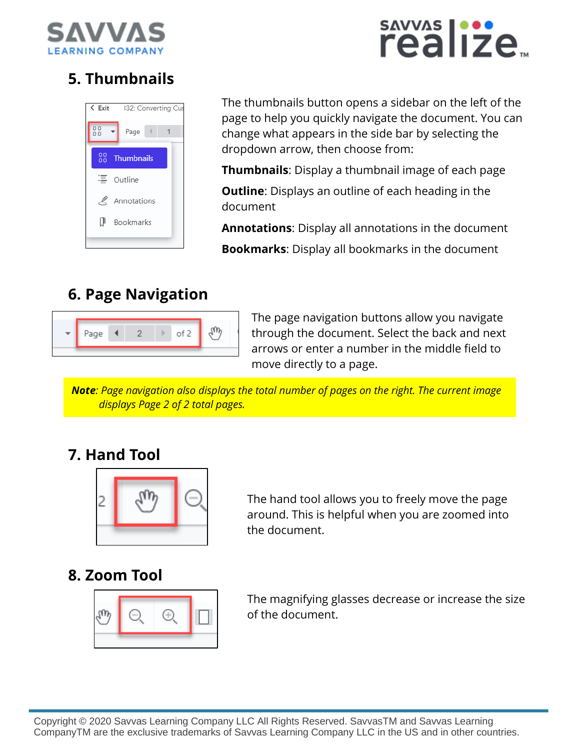

# savyas |···<br>realize<sub>™</sub>

# **5. Thumbnails**



The thumbnails button opens a sidebar on the left of the page to help you quickly navigate the document. You can change what appears in the side bar by selecting the dropdown arrow, then choose from:

**Thumbnails**: Display a thumbnail image of each page

**Outline**: Displays an outline of each heading in the document

**Annotations**: Display all annotations in the document

**Bookmarks**: Display all bookmarks in the document

## **6. Page Navigation**



The page navigation buttons allow you navigate through the document. Select the back and next arrows or enter a number in the middle field to move directly to a page.

*Note: Page navigation also displays the total number of pages on the right. The current image displays Page 2 of 2 total pages.* 

#### **7. Hand Tool**



The hand tool allows you to freely move the page around. This is helpful when you are zoomed into the document.

#### **8. Zoom Tool**



The magnifying glasses decrease or increase the size of the document.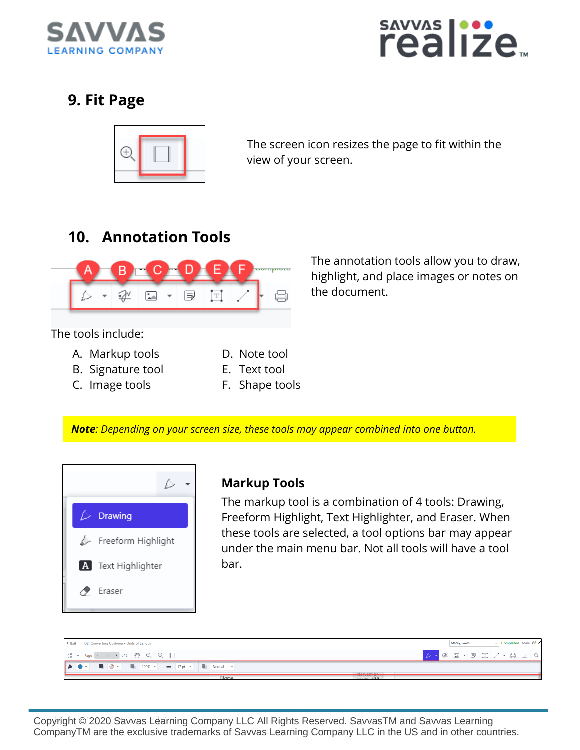



#### **9. Fit Page**



The screen icon resizes the page to fit within the view of your screen.

### **10. Annotation Tools**



The annotation tools allow you to draw, highlight, and place images or notes on the document.

The tools include:

- A. Markup tools
- B. Signature tool
- C. Image tools
- D. Note tool E. Text tool
- 
- F. Shape tools

*Note: Depending on your screen size, these tools may appear combined into one button.*



#### **Markup Tools**

The markup tool is a combination of 4 tools: Drawing, Freeform Highlight, Text Highlighter, and Eraser. When these tools are selected, a tool options bar may appear under the main menu bar. Not all tools will have a tool bar.

| $\leq$ Exit<br>132: Converting Customary Units of Length                                                                                                                                       | Completed Score: 85<br>Stacey, Gwen |
|------------------------------------------------------------------------------------------------------------------------------------------------------------------------------------------------|-------------------------------------|
| $\frac{0.0}{0.0}$ $\rightarrow$ Page (1 ) of 2 $\binom{0.0}{0.0}$ $\binom{0.0}{0.0}$ $\binom{0.0}{0.0}$                                                                                        |                                     |
| $\bullet\bullet$<br>$\blacksquare$ 100% $\blacktriangleright$ $\blacksquare$ 17 pt $\blacktriangleright$ $\blacksquare$ Normal $\blacktriangleright$<br>$\mathbf{v} = \mathbf{v} + \mathbf{v}$ |                                     |
| Intervention<br>$\cdots$<br>Name<br>$lecon$ 132                                                                                                                                                |                                     |

Copyright © 2020 Savvas Learning Company LLC All Rights Reserved. SavvasTM and Savvas Learning CompanyTM are the exclusive trademarks of Savvas Learning Company LLC in the US and in other countries.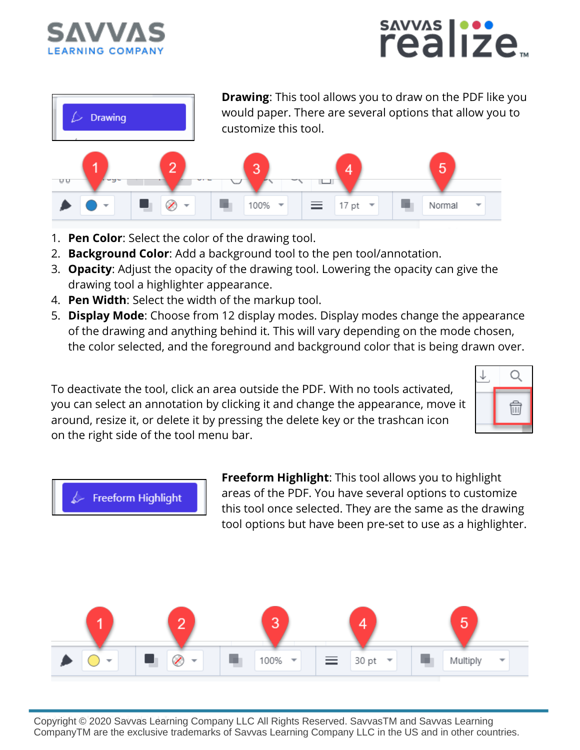





**Drawing**: This tool allows you to draw on the PDF like you would paper. There are several options that allow you to customize this tool.



- 1. **Pen Color**: Select the color of the drawing tool.
- 2. **Background Color**: Add a background tool to the pen tool/annotation.
- 3. **Opacity**: Adjust the opacity of the drawing tool. Lowering the opacity can give the drawing tool a highlighter appearance.
- 4. **Pen Width**: Select the width of the markup tool.
- 5. **Display Mode**: Choose from 12 display modes. Display modes change the appearance of the drawing and anything behind it. This will vary depending on the mode chosen, the color selected, and the foreground and background color that is being drawn over.

To deactivate the tool, click an area outside the PDF. With no tools activated, you can select an annotation by clicking it and change the appearance, move it around, resize it, or delete it by pressing the delete key or the trashcan icon on the right side of the tool menu bar.





**Freeform Highlight**: This tool allows you to highlight areas of the PDF. You have several options to customize this tool once selected. They are the same as the drawing tool options but have been pre-set to use as a highlighter.

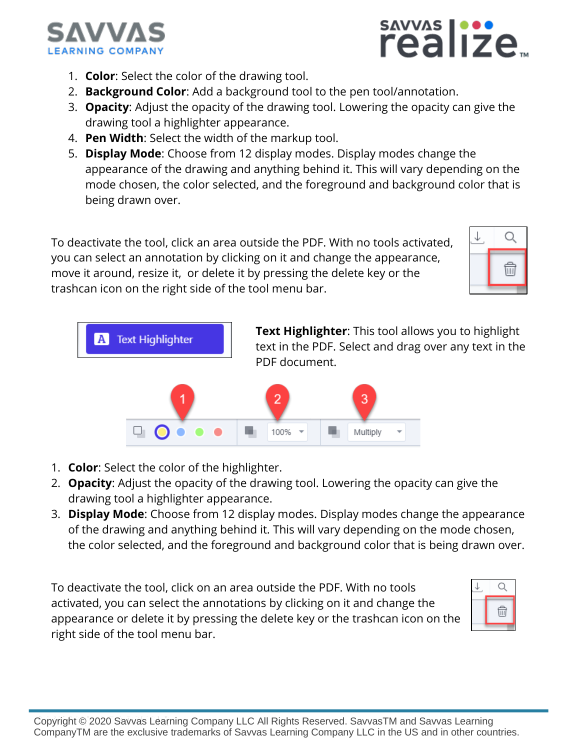

- sAVVAS | ...<br>realize
- 1. **Color**: Select the color of the drawing tool.
- 2. **Background Color**: Add a background tool to the pen tool/annotation.
- 3. **Opacity**: Adjust the opacity of the drawing tool. Lowering the opacity can give the drawing tool a highlighter appearance.
- 4. **Pen Width**: Select the width of the markup tool.
- 5. **Display Mode**: Choose from 12 display modes. Display modes change the appearance of the drawing and anything behind it. This will vary depending on the mode chosen, the color selected, and the foreground and background color that is being drawn over.

To deactivate the tool, click an area outside the PDF. With no tools activated, you can select an annotation by clicking on it and change the appearance, move it around, resize it, or delete it by pressing the delete key or the trashcan icon on the right side of the tool menu bar.





- 1. **Color**: Select the color of the highlighter.
- 2. **Opacity**: Adjust the opacity of the drawing tool. Lowering the opacity can give the drawing tool a highlighter appearance.
- 3. **Display Mode**: Choose from 12 display modes. Display modes change the appearance of the drawing and anything behind it. This will vary depending on the mode chosen, the color selected, and the foreground and background color that is being drawn over.

To deactivate the tool, click on an area outside the PDF. With no tools activated, you can select the annotations by clicking on it and change the appearance or delete it by pressing the delete key or the trashcan icon on the right side of the tool menu bar.

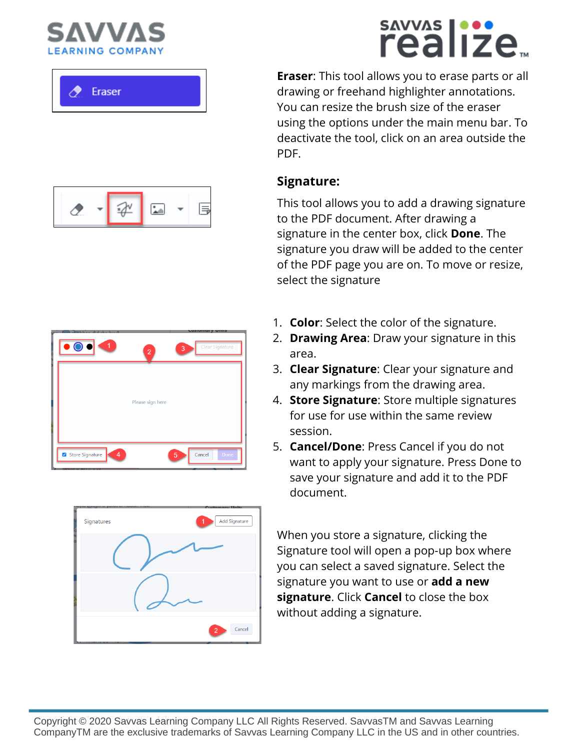Eraser

# sAVVAS |...<br>realize

**Eraser**: This tool allows you to erase parts or all drawing or freehand highlighter annotations. You can resize the brush size of the eraser using the options under the main menu bar. To deactivate the tool, click on an area outside the PDF.

#### **Signature:**

This tool allows you to add a drawing signature to the PDF document. After drawing a signature in the center box, click **Done**. The signature you draw will be added to the center of the PDF page you are on. To move or resize, select the signature

- 1. **Color**: Select the color of the signature.
- 2. **Drawing Area**: Draw your signature in this area.
- 3. **Clear Signature**: Clear your signature and any markings from the drawing area.
- 4. **Store Signature**: Store multiple signatures for use for use within the same review session.
- 5. **Cancel/Done**: Press Cancel if you do not want to apply your signature. Press Done to save your signature and add it to the PDF document.

When you store a signature, clicking the Signature tool will open a pop-up box where you can select a saved signature. Select the signature you want to use or **add a new signature**. Click **Cancel** to close the box without adding a signature.





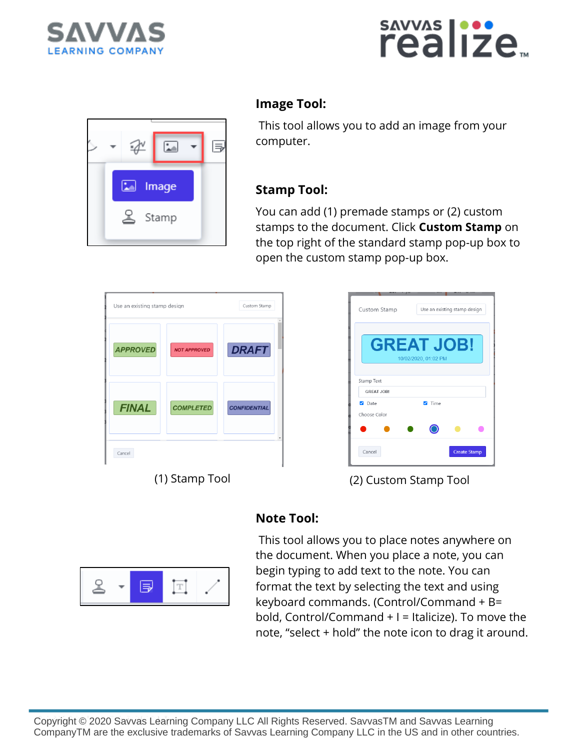





#### **Image Tool:**

This tool allows you to add an image from your computer.

#### **Stamp Tool:**

You can add (1) premade stamps or (2) custom stamps to the document. Click **Custom Stamp** on the top right of the standard stamp pop-up box to open the custom stamp pop-up box.

| <b>APPROVED</b> | <b>NOT APPROVED</b> | <b>DRAFT</b>        |
|-----------------|---------------------|---------------------|
| <b>FINAL</b>    | <b>COMPLETED</b>    | <b>CONFIDENTIAL</b> |
| Cancel          |                     |                     |



(1) Stamp Tool (2) Custom Stamp Tool



#### **Note Tool:**

This tool allows you to place notes anywhere on the document. When you place a note, you can begin typing to add text to the note. You can format the text by selecting the text and using keyboard commands. (Control/Command + B= bold, Control/Command  $+$  I = Italicize). To move the note, "select + hold" the note icon to drag it around.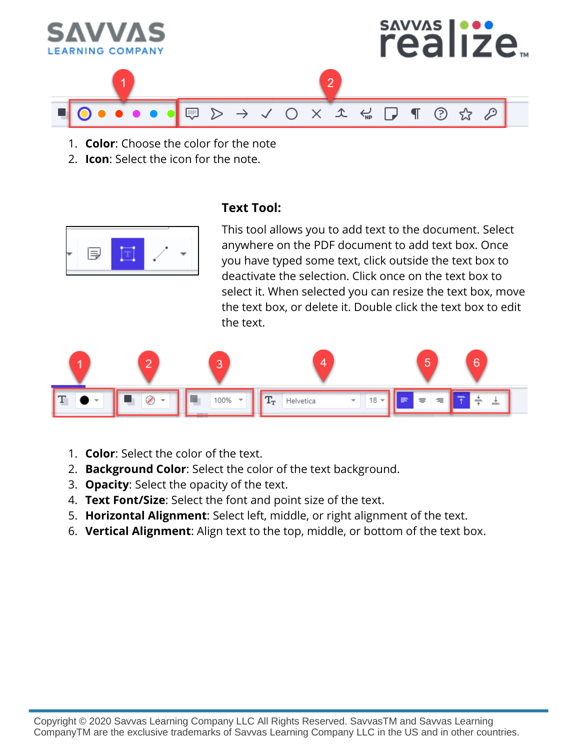

- 1. **Color**: Choose the color for the note
- 2. **Icon**: Select the icon for the note.



#### **Text Tool:**

This tool allows you to add text to the document. Select anywhere on the PDF document to add text box. Once you have typed some text, click outside the text box to deactivate the selection. Click once on the text box to select it. When selected you can resize the text box, move the text box, or delete it. Double click the text box to edit the text.



- 1. **Color**: Select the color of the text.
- 2. **Background Color**: Select the color of the text background.
- 3. **Opacity**: Select the opacity of the text.
- 4. **Text Font/Size**: Select the font and point size of the text.
- 5. **Horizontal Alignment**: Select left, middle, or right alignment of the text.
- 6. **Vertical Alignment**: Align text to the top, middle, or bottom of the text box.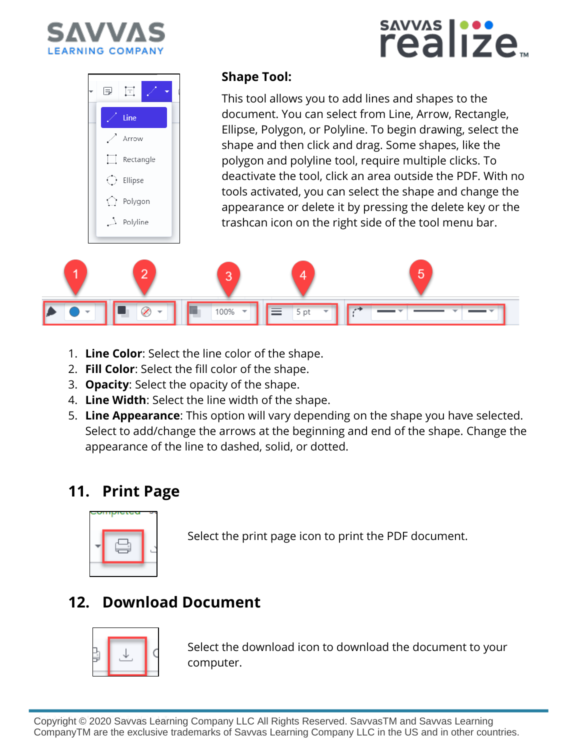



#### **Shape Tool:**

This tool allows you to add lines and shapes to the document. You can select from Line, Arrow, Rectangle, Ellipse, Polygon, or Polyline. To begin drawing, select the shape and then click and drag. Some shapes, like the polygon and polyline tool, require multiple clicks. To deactivate the tool, click an area outside the PDF. With no tools activated, you can select the shape and change the appearance or delete it by pressing the delete key or the trashcan icon on the right side of the tool menu bar.

savyas |···<br>realize<sub>™</sub>



- 1. **Line Color**: Select the line color of the shape.
- 2. **Fill Color**: Select the fill color of the shape.
- 3. **Opacity**: Select the opacity of the shape.
- 4. **Line Width**: Select the line width of the shape.
- 5. **Line Appearance**: This option will vary depending on the shape you have selected. Select to add/change the arrows at the beginning and end of the shape. Change the appearance of the line to dashed, solid, or dotted.

#### **11. Print Page**



Select the print page icon to print the PDF document.

# **12. Download Document**



Select the download icon to download the document to your computer.